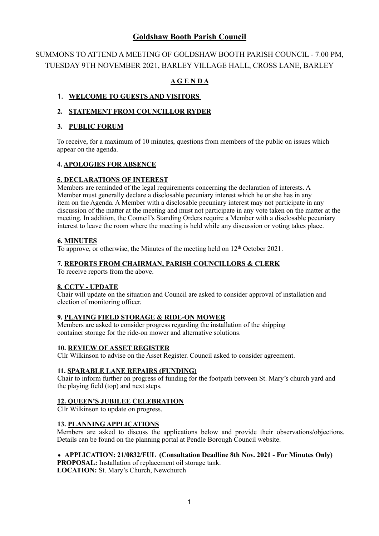## **Goldshaw Booth Parish Council**

# SUMMONS TO ATTEND A MEETING OF GOLDSHAW BOOTH PARISH COUNCIL - 7.00 PM, TUESDAY 9TH NOVEMBER 2021, BARLEY VILLAGE HALL, CROSS LANE, BARLEY

## **A G E N D A**

## 1. **WELCOME TO GUESTS AND VISITORS**

## **2. STATEMENT FROM COUNCILLOR RYDER**

#### **3. PUBLIC FORUM**

To receive, for a maximum of 10 minutes, questions from members of the public on issues which appear on the agenda.

### **4. APOLOGIES FOR ABSENCE**

### **5. DECLARATIONS OF INTEREST**

 Members are reminded of the legal requirements concerning the declaration of interests. A Member must generally declare a disclosable pecuniary interest which he or she has in any item on the Agenda. A Member with a disclosable pecuniary interest may not participate in any discussion of the matter at the meeting and must not participate in any vote taken on the matter at the meeting. In addition, the Council's Standing Orders require a Member with a disclosable pecuniary interest to leave the room where the meeting is held while any discussion or voting takes place.

#### **6. MINUTES**

To approve, or otherwise, the Minutes of the meeting held on 12<sup>th</sup> October 2021.

#### **7. REPORTS FROM CHAIRMAN, PARISH COUNCILLORS & CLERK**

To receive reports from the above.

#### **8. CCTV - UPDATE**

 Chair will update on the situation and Council are asked to consider approval of installation and election of monitoring officer.

## **9. PLAYING FIELD STORAGE & RIDE-ON MOWER**

Members are asked to consider progress regarding the installation of the shipping container storage for the ride-on mower and alternative solutions.

#### **10. REVIEW OF ASSET REGISTER**

Cllr Wilkinson to advise on the Asset Register. Council asked to consider agreement.

#### **11. SPARABLE LANE REPAIRS (FUNDING)**

 Chair to inform further on progress of funding for the footpath between St. Mary's church yard and the playing field (top) and next steps.

#### **12. QUEEN'S JUBILEE CELEBRATION**

Cllr Wilkinson to update on progress.

#### **13. PLANNING APPLICATIONS**

Members are asked to discuss the applications below and provide their observations/objections. Details can be found on the planning portal at Pendle Borough Council website.

#### • **APPLICATION: 21/0832/FUL (Consultation Deadline 8th Nov. 2021 - For Minutes Only)**

**PROPOSAL:** Installation of replacement oil storage tank. **LOCATION:** St. Mary's Church, Newchurch